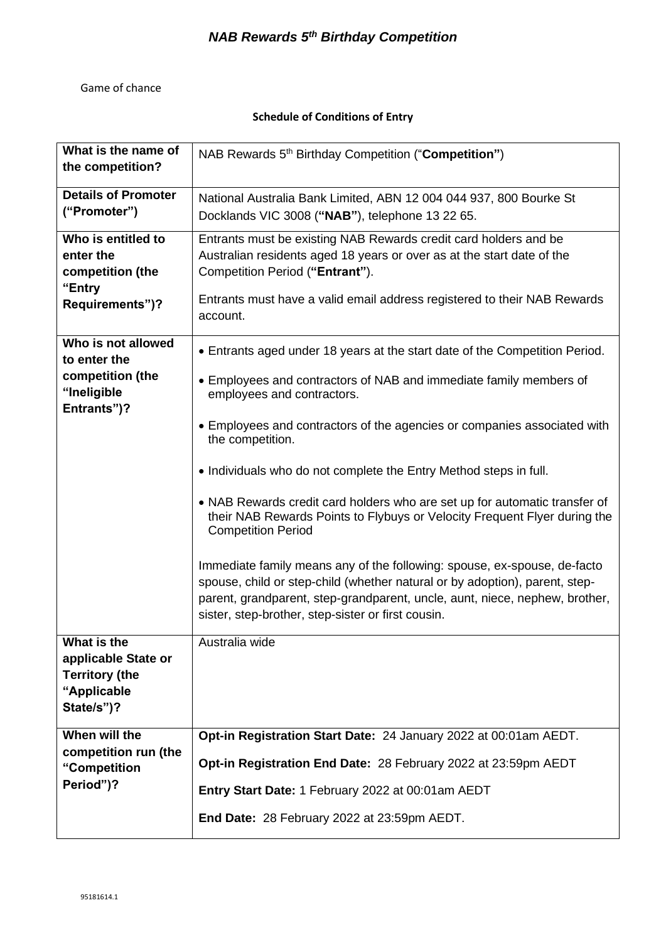## Game of chance

## **Schedule of Conditions of Entry**

| What is the name of<br>the competition?                                                  | NAB Rewards 5 <sup>th</sup> Birthday Competition ("Competition")                                                                                                                                                                                                                                                                                                                                                                                                                                                                                                                                                                                                                                        |
|------------------------------------------------------------------------------------------|---------------------------------------------------------------------------------------------------------------------------------------------------------------------------------------------------------------------------------------------------------------------------------------------------------------------------------------------------------------------------------------------------------------------------------------------------------------------------------------------------------------------------------------------------------------------------------------------------------------------------------------------------------------------------------------------------------|
| <b>Details of Promoter</b><br>("Promoter")                                               | National Australia Bank Limited, ABN 12 004 044 937, 800 Bourke St<br>Docklands VIC 3008 ("NAB"), telephone 13 22 65.                                                                                                                                                                                                                                                                                                                                                                                                                                                                                                                                                                                   |
| Who is entitled to<br>enter the<br>competition (the<br>"Entry<br>Requirements")?         | Entrants must be existing NAB Rewards credit card holders and be<br>Australian residents aged 18 years or over as at the start date of the<br>Competition Period ("Entrant").<br>Entrants must have a valid email address registered to their NAB Rewards<br>account.                                                                                                                                                                                                                                                                                                                                                                                                                                   |
| Who is not allowed<br>to enter the<br>competition (the<br>"Ineligible<br>Entrants")?     | • Entrants aged under 18 years at the start date of the Competition Period.<br>• Employees and contractors of NAB and immediate family members of<br>employees and contractors.<br>• Employees and contractors of the agencies or companies associated with<br>the competition.<br>• Individuals who do not complete the Entry Method steps in full.<br>• NAB Rewards credit card holders who are set up for automatic transfer of<br>their NAB Rewards Points to Flybuys or Velocity Frequent Flyer during the<br><b>Competition Period</b><br>Immediate family means any of the following: spouse, ex-spouse, de-facto<br>spouse, child or step-child (whether natural or by adoption), parent, step- |
|                                                                                          | parent, grandparent, step-grandparent, uncle, aunt, niece, nephew, brother,<br>sister, step-brother, step-sister or first cousin.                                                                                                                                                                                                                                                                                                                                                                                                                                                                                                                                                                       |
| What is the<br>applicable State or<br><b>Territory (the</b><br>"Applicable<br>State/s")? | Australia wide                                                                                                                                                                                                                                                                                                                                                                                                                                                                                                                                                                                                                                                                                          |
| When will the<br>competition run (the                                                    | Opt-in Registration Start Date: 24 January 2022 at 00:01am AEDT.                                                                                                                                                                                                                                                                                                                                                                                                                                                                                                                                                                                                                                        |
| "Competition<br>Period")?                                                                | Opt-in Registration End Date: 28 February 2022 at 23:59pm AEDT                                                                                                                                                                                                                                                                                                                                                                                                                                                                                                                                                                                                                                          |
|                                                                                          | Entry Start Date: 1 February 2022 at 00:01am AEDT<br>End Date: 28 February 2022 at 23:59pm AEDT.                                                                                                                                                                                                                                                                                                                                                                                                                                                                                                                                                                                                        |
|                                                                                          |                                                                                                                                                                                                                                                                                                                                                                                                                                                                                                                                                                                                                                                                                                         |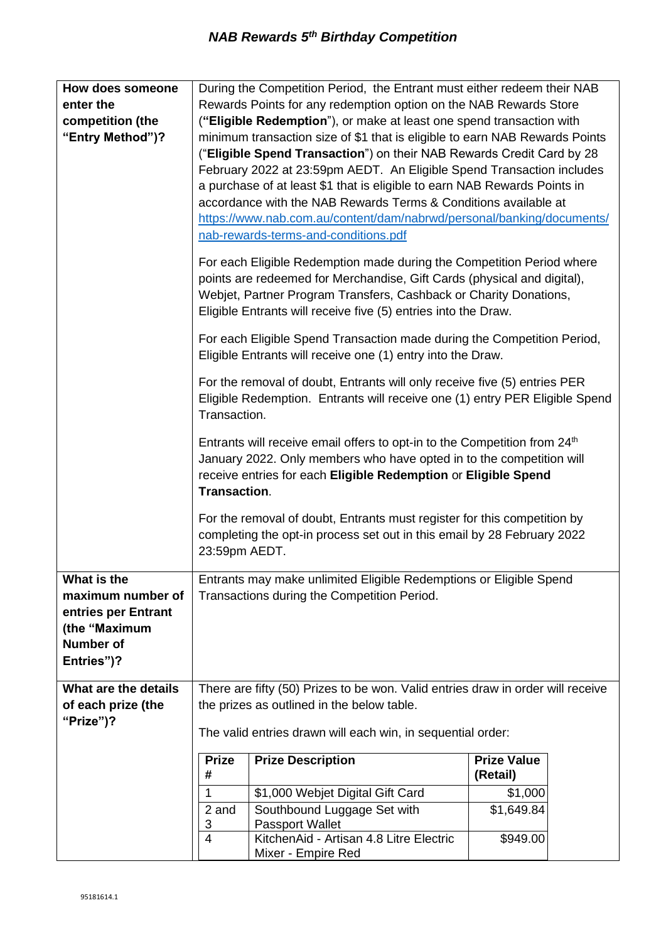| How does someone     |                                                                                                                                                                          | During the Competition Period, the Entrant must either redeem their NAB                                                                          |                                |  |  |
|----------------------|--------------------------------------------------------------------------------------------------------------------------------------------------------------------------|--------------------------------------------------------------------------------------------------------------------------------------------------|--------------------------------|--|--|
| enter the            | Rewards Points for any redemption option on the NAB Rewards Store                                                                                                        |                                                                                                                                                  |                                |  |  |
| competition (the     | ("Eligible Redemption"), or make at least one spend transaction with                                                                                                     |                                                                                                                                                  |                                |  |  |
| "Entry Method")?     | minimum transaction size of \$1 that is eligible to earn NAB Rewards Points                                                                                              |                                                                                                                                                  |                                |  |  |
|                      |                                                                                                                                                                          | ("Eligible Spend Transaction") on their NAB Rewards Credit Card by 28                                                                            |                                |  |  |
|                      |                                                                                                                                                                          | February 2022 at 23:59pm AEDT. An Eligible Spend Transaction includes                                                                            |                                |  |  |
|                      |                                                                                                                                                                          | a purchase of at least \$1 that is eligible to earn NAB Rewards Points in                                                                        |                                |  |  |
|                      |                                                                                                                                                                          | accordance with the NAB Rewards Terms & Conditions available at                                                                                  |                                |  |  |
|                      |                                                                                                                                                                          | https://www.nab.com.au/content/dam/nabrwd/personal/banking/documents/                                                                            |                                |  |  |
|                      |                                                                                                                                                                          | nab-rewards-terms-and-conditions.pdf                                                                                                             |                                |  |  |
|                      |                                                                                                                                                                          |                                                                                                                                                  |                                |  |  |
|                      |                                                                                                                                                                          | For each Eligible Redemption made during the Competition Period where<br>points are redeemed for Merchandise, Gift Cards (physical and digital), |                                |  |  |
|                      | Webjet, Partner Program Transfers, Cashback or Charity Donations,<br>Eligible Entrants will receive five (5) entries into the Draw.                                      |                                                                                                                                                  |                                |  |  |
|                      | For each Eligible Spend Transaction made during the Competition Period,<br>Eligible Entrants will receive one (1) entry into the Draw.                                   |                                                                                                                                                  |                                |  |  |
|                      |                                                                                                                                                                          |                                                                                                                                                  |                                |  |  |
|                      | For the removal of doubt, Entrants will only receive five (5) entries PER<br>Eligible Redemption. Entrants will receive one (1) entry PER Eligible Spend<br>Transaction. |                                                                                                                                                  |                                |  |  |
|                      |                                                                                                                                                                          | Entrants will receive email offers to opt-in to the Competition from 24 <sup>th</sup>                                                            |                                |  |  |
|                      |                                                                                                                                                                          |                                                                                                                                                  |                                |  |  |
|                      |                                                                                                                                                                          | January 2022. Only members who have opted in to the competition will<br>receive entries for each Eligible Redemption or Eligible Spend           |                                |  |  |
|                      | Transaction.                                                                                                                                                             |                                                                                                                                                  |                                |  |  |
|                      |                                                                                                                                                                          |                                                                                                                                                  |                                |  |  |
|                      |                                                                                                                                                                          | For the removal of doubt, Entrants must register for this competition by                                                                         |                                |  |  |
|                      |                                                                                                                                                                          | completing the opt-in process set out in this email by 28 February 2022                                                                          |                                |  |  |
|                      | 23:59pm AEDT.                                                                                                                                                            |                                                                                                                                                  |                                |  |  |
| What is the          |                                                                                                                                                                          | Entrants may make unlimited Eligible Redemptions or Eligible Spend                                                                               |                                |  |  |
| maximum number of    |                                                                                                                                                                          | Transactions during the Competition Period.                                                                                                      |                                |  |  |
| entries per Entrant  |                                                                                                                                                                          |                                                                                                                                                  |                                |  |  |
| (the "Maximum        |                                                                                                                                                                          |                                                                                                                                                  |                                |  |  |
| <b>Number of</b>     |                                                                                                                                                                          |                                                                                                                                                  |                                |  |  |
| Entries")?           |                                                                                                                                                                          |                                                                                                                                                  |                                |  |  |
|                      |                                                                                                                                                                          |                                                                                                                                                  |                                |  |  |
| What are the details |                                                                                                                                                                          | There are fifty (50) Prizes to be won. Valid entries draw in order will receive                                                                  |                                |  |  |
| of each prize (the   |                                                                                                                                                                          | the prizes as outlined in the below table.                                                                                                       |                                |  |  |
| "Prize")?            |                                                                                                                                                                          | The valid entries drawn will each win, in sequential order:                                                                                      |                                |  |  |
|                      |                                                                                                                                                                          |                                                                                                                                                  |                                |  |  |
|                      | <b>Prize</b><br>#                                                                                                                                                        | <b>Prize Description</b>                                                                                                                         | <b>Prize Value</b><br>(Retail) |  |  |
|                      | 1                                                                                                                                                                        | \$1,000 Webjet Digital Gift Card                                                                                                                 | \$1,000                        |  |  |
|                      | 2 and                                                                                                                                                                    | Southbound Luggage Set with                                                                                                                      | \$1,649.84                     |  |  |
|                      | 3                                                                                                                                                                        | <b>Passport Wallet</b>                                                                                                                           |                                |  |  |
|                      | $\overline{4}$                                                                                                                                                           | KitchenAid - Artisan 4.8 Litre Electric                                                                                                          | \$949.00                       |  |  |
|                      |                                                                                                                                                                          | Mixer - Empire Red                                                                                                                               |                                |  |  |

Π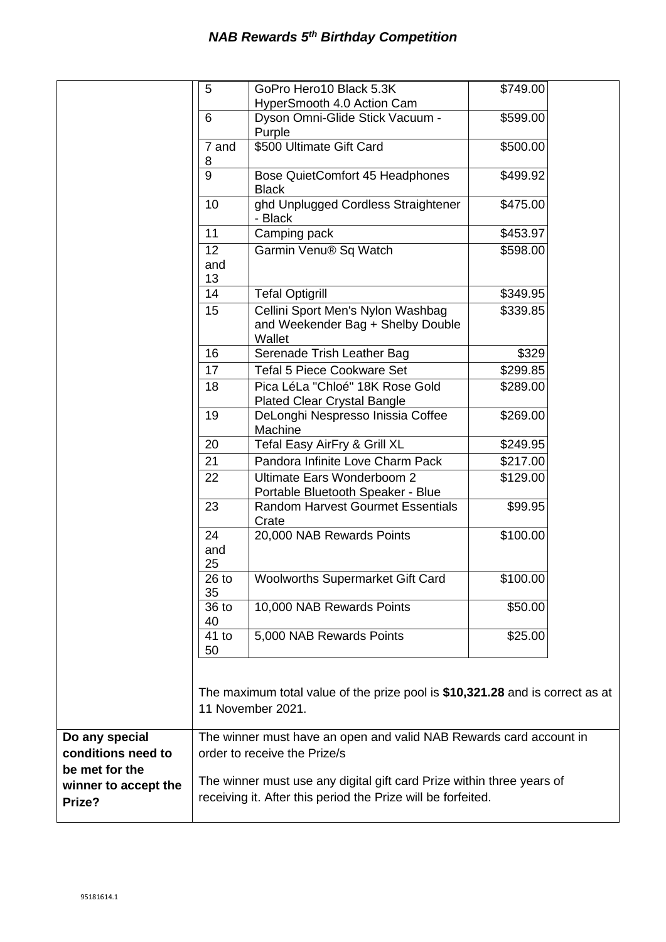|                      | 5               | GoPro Hero10 Black 5.3K<br>HyperSmooth 4.0 Action Cam                                              | \$749.00 |  |
|----------------------|-----------------|----------------------------------------------------------------------------------------------------|----------|--|
|                      | 6               | Dyson Omni-Glide Stick Vacuum -                                                                    | \$599.00 |  |
|                      | 7 and           | Purple<br>\$500 Ultimate Gift Card                                                                 | \$500.00 |  |
|                      | 8               |                                                                                                    |          |  |
|                      | 9               | Bose QuietComfort 45 Headphones<br><b>Black</b>                                                    | \$499.92 |  |
|                      | 10              | ghd Unplugged Cordless Straightener<br>- Black                                                     | \$475.00 |  |
|                      | 11              | Camping pack                                                                                       | \$453.97 |  |
|                      | 12<br>and<br>13 | Garmin Venu® Sq Watch                                                                              | \$598.00 |  |
|                      | 14              | <b>Tefal Optigrill</b>                                                                             | \$349.95 |  |
|                      | 15              | Cellini Sport Men's Nylon Washbag<br>and Weekender Bag + Shelby Double<br>Wallet                   | \$339.85 |  |
|                      | 16              | Serenade Trish Leather Bag                                                                         | \$329    |  |
|                      | 17              | <b>Tefal 5 Piece Cookware Set</b>                                                                  | \$299.85 |  |
|                      | 18              | Pica LéLa "Chloé" 18K Rose Gold<br><b>Plated Clear Crystal Bangle</b>                              | \$289.00 |  |
|                      | 19              | DeLonghi Nespresso Inissia Coffee<br>Machine                                                       | \$269.00 |  |
|                      | 20              | Tefal Easy AirFry & Grill XL                                                                       | \$249.95 |  |
|                      | 21              | Pandora Infinite Love Charm Pack                                                                   | \$217.00 |  |
|                      | 22              | Ultimate Ears Wonderboom 2<br>Portable Bluetooth Speaker - Blue                                    | \$129.00 |  |
|                      | 23              | <b>Random Harvest Gourmet Essentials</b><br>Crate                                                  | \$99.95  |  |
|                      | 24<br>and<br>25 | 20,000 NAB Rewards Points                                                                          | \$100.00 |  |
|                      | $26$ to<br>35   | Woolworths Supermarket Gift Card                                                                   | \$100.00 |  |
|                      | 36 to<br>40     | 10,000 NAB Rewards Points                                                                          | \$50.00  |  |
|                      | $41$ to<br>50   | 5,000 NAB Rewards Points                                                                           | \$25.00  |  |
|                      |                 | The maximum total value of the prize pool is \$10,321.28 and is correct as at<br>11 November 2021. |          |  |
| Do any special       |                 | The winner must have an open and valid NAB Rewards card account in                                 |          |  |
| conditions need to   |                 | order to receive the Prize/s                                                                       |          |  |
| be met for the       |                 | The winner must use any digital gift card Prize within three years of                              |          |  |
| winner to accept the |                 | receiving it. After this period the Prize will be forfeited.                                       |          |  |
| Prize?               |                 |                                                                                                    |          |  |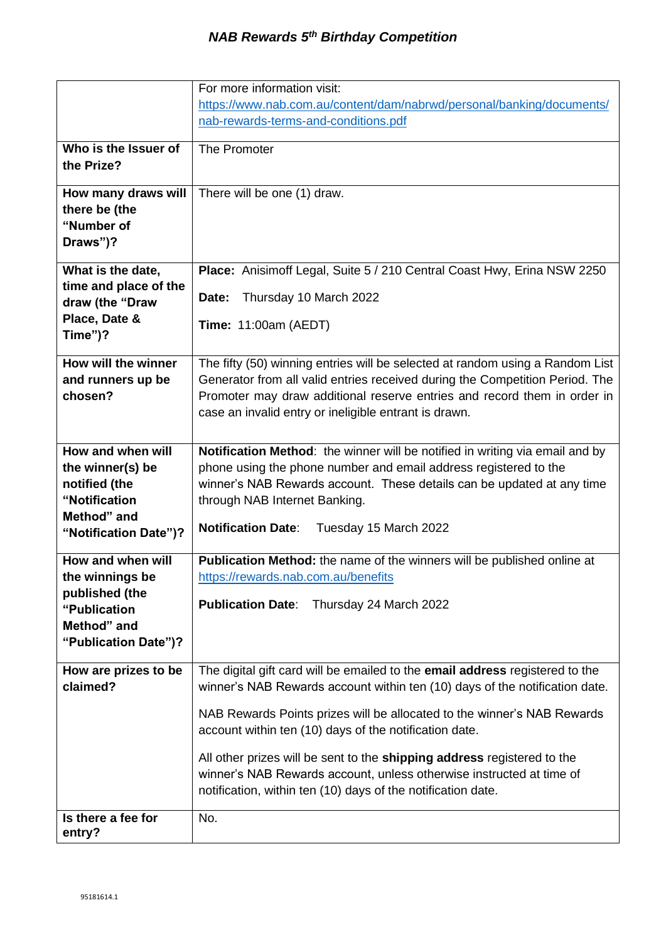|                       | For more information visit:                                                   |
|-----------------------|-------------------------------------------------------------------------------|
|                       | https://www.nab.com.au/content/dam/nabrwd/personal/banking/documents/         |
|                       | nab-rewards-terms-and-conditions.pdf                                          |
|                       |                                                                               |
| Who is the Issuer of  | The Promoter                                                                  |
| the Prize?            |                                                                               |
| How many draws will   | There will be one (1) draw.                                                   |
| there be (the         |                                                                               |
| "Number of            |                                                                               |
| Draws")?              |                                                                               |
|                       |                                                                               |
| What is the date,     | Place: Anisimoff Legal, Suite 5 / 210 Central Coast Hwy, Erina NSW 2250       |
| time and place of the |                                                                               |
| draw (the "Draw       | Thursday 10 March 2022<br>Date:                                               |
| Place, Date &         | <b>Time: 11:00am (AEDT)</b>                                                   |
| Time")?               |                                                                               |
| How will the winner   | The fifty (50) winning entries will be selected at random using a Random List |
| and runners up be     | Generator from all valid entries received during the Competition Period. The  |
| chosen?               | Promoter may draw additional reserve entries and record them in order in      |
|                       | case an invalid entry or ineligible entrant is drawn.                         |
|                       |                                                                               |
| How and when will     | Notification Method: the winner will be notified in writing via email and by  |
| the winner(s) be      | phone using the phone number and email address registered to the              |
| notified (the         | winner's NAB Rewards account. These details can be updated at any time        |
| "Notification         | through NAB Internet Banking.                                                 |
| Method" and           |                                                                               |
| "Notification Date")? | <b>Notification Date:</b><br>Tuesday 15 March 2022                            |
|                       |                                                                               |
| How and when will     | Publication Method: the name of the winners will be published online at       |
| the winnings be       | https://rewards.nab.com.au/benefits                                           |
| published (the        | <b>Publication Date:</b><br>Thursday 24 March 2022                            |
| "Publication          |                                                                               |
| Method" and           |                                                                               |
| "Publication Date")?  |                                                                               |
| How are prizes to be  | The digital gift card will be emailed to the email address registered to the  |
| claimed?              | winner's NAB Rewards account within ten (10) days of the notification date.   |
|                       |                                                                               |
|                       | NAB Rewards Points prizes will be allocated to the winner's NAB Rewards       |
|                       | account within ten (10) days of the notification date.                        |
|                       | All other prizes will be sent to the shipping address registered to the       |
|                       | winner's NAB Rewards account, unless otherwise instructed at time of          |
|                       | notification, within ten (10) days of the notification date.                  |
|                       |                                                                               |
| Is there a fee for    | No.                                                                           |
| entry?                |                                                                               |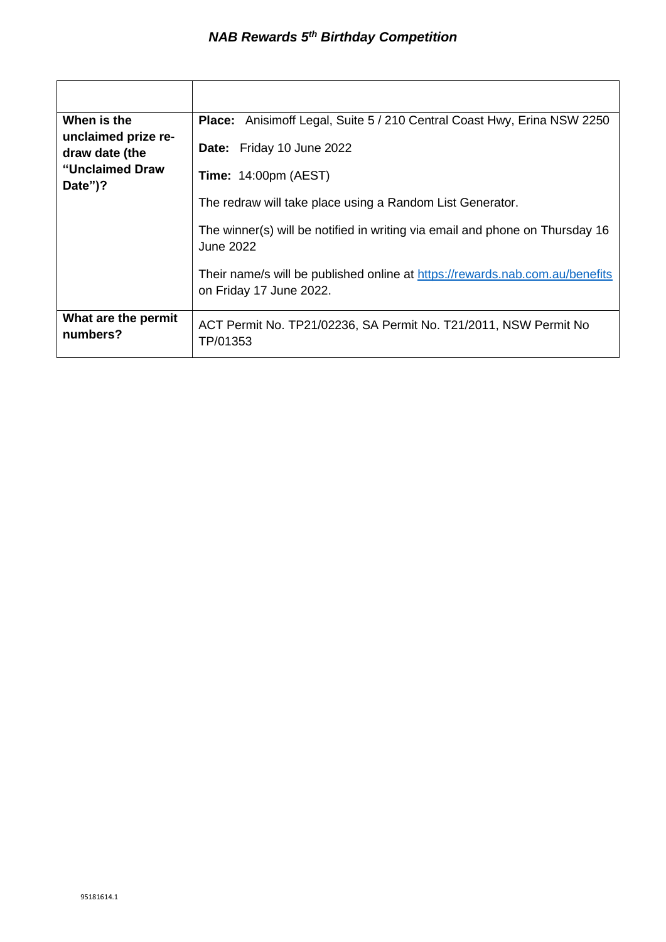| When is the<br>unclaimed prize re-<br>draw date (the<br>"Unclaimed Draw<br>Date")? | <b>Place:</b> Anisimoff Legal, Suite 5 / 210 Central Coast Hwy, Erina NSW 2250                          |
|------------------------------------------------------------------------------------|---------------------------------------------------------------------------------------------------------|
|                                                                                    | Date: Friday 10 June 2022                                                                               |
|                                                                                    | <b>Time:</b> $14:00 \text{pm}$ (AEST)                                                                   |
|                                                                                    | The redraw will take place using a Random List Generator.                                               |
|                                                                                    | The winner(s) will be notified in writing via email and phone on Thursday 16<br><b>June 2022</b>        |
|                                                                                    | Their name/s will be published online at https://rewards.nab.com.au/benefits<br>on Friday 17 June 2022. |
| What are the permit<br>numbers?                                                    | ACT Permit No. TP21/02236, SA Permit No. T21/2011, NSW Permit No<br>TP/01353                            |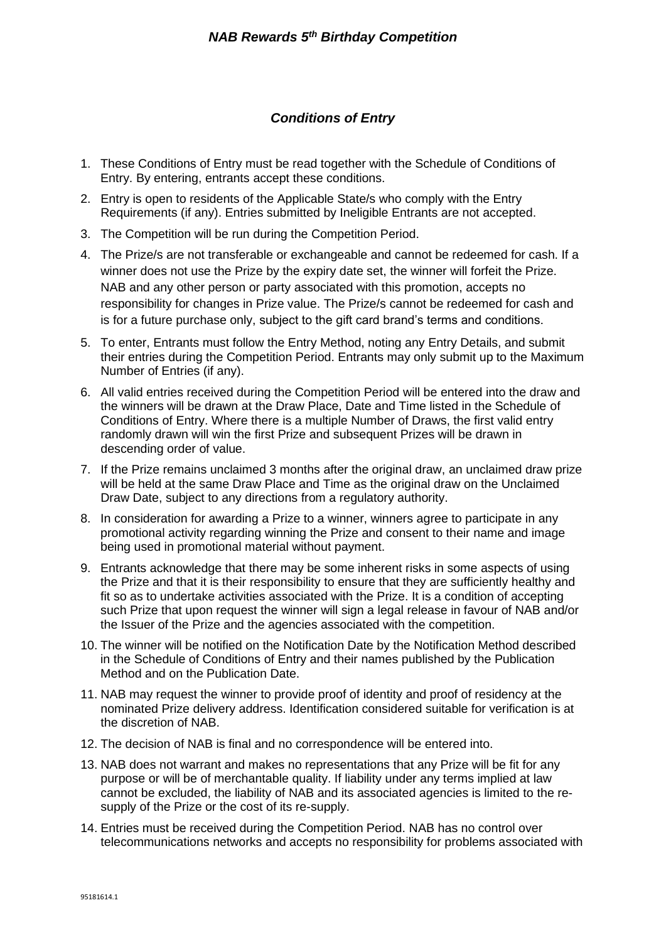## *Conditions of Entry*

- 1. These Conditions of Entry must be read together with the Schedule of Conditions of Entry. By entering, entrants accept these conditions.
- 2. Entry is open to residents of the Applicable State/s who comply with the Entry Requirements (if any). Entries submitted by Ineligible Entrants are not accepted.
- 3. The Competition will be run during the Competition Period.
- 4. The Prize/s are not transferable or exchangeable and cannot be redeemed for cash. If a winner does not use the Prize by the expiry date set, the winner will forfeit the Prize. NAB and any other person or party associated with this promotion, accepts no responsibility for changes in Prize value. The Prize/s cannot be redeemed for cash and is for a future purchase only, subject to the gift card brand's terms and conditions.
- 5. To enter, Entrants must follow the Entry Method, noting any Entry Details, and submit their entries during the Competition Period. Entrants may only submit up to the Maximum Number of Entries (if any).
- 6. All valid entries received during the Competition Period will be entered into the draw and the winners will be drawn at the Draw Place, Date and Time listed in the Schedule of Conditions of Entry. Where there is a multiple Number of Draws, the first valid entry randomly drawn will win the first Prize and subsequent Prizes will be drawn in descending order of value.
- 7. If the Prize remains unclaimed 3 months after the original draw, an unclaimed draw prize will be held at the same Draw Place and Time as the original draw on the Unclaimed Draw Date, subject to any directions from a regulatory authority.
- 8. In consideration for awarding a Prize to a winner, winners agree to participate in any promotional activity regarding winning the Prize and consent to their name and image being used in promotional material without payment.
- 9. Entrants acknowledge that there may be some inherent risks in some aspects of using the Prize and that it is their responsibility to ensure that they are sufficiently healthy and fit so as to undertake activities associated with the Prize. It is a condition of accepting such Prize that upon request the winner will sign a legal release in favour of NAB and/or the Issuer of the Prize and the agencies associated with the competition.
- 10. The winner will be notified on the Notification Date by the Notification Method described in the Schedule of Conditions of Entry and their names published by the Publication Method and on the Publication Date.
- 11. NAB may request the winner to provide proof of identity and proof of residency at the nominated Prize delivery address. Identification considered suitable for verification is at the discretion of NAB.
- 12. The decision of NAB is final and no correspondence will be entered into.
- 13. NAB does not warrant and makes no representations that any Prize will be fit for any purpose or will be of merchantable quality. If liability under any terms implied at law cannot be excluded, the liability of NAB and its associated agencies is limited to the resupply of the Prize or the cost of its re-supply.
- 14. Entries must be received during the Competition Period. NAB has no control over telecommunications networks and accepts no responsibility for problems associated with